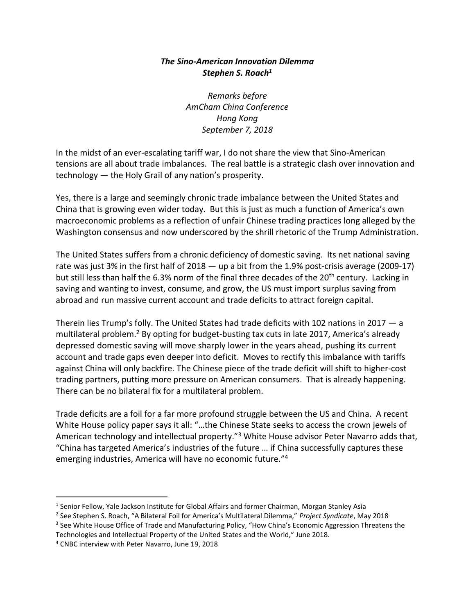## *The Sino-American Innovation Dilemma Stephen S. Roach<sup>1</sup>*

*Remarks before AmCham China Conference Hong Kong September 7, 2018*

In the midst of an ever-escalating tariff war, I do not share the view that Sino-American tensions are all about trade imbalances. The real battle is a strategic clash over innovation and technology — the Holy Grail of any nation's prosperity.

Yes, there is a large and seemingly chronic trade imbalance between the United States and China that is growing even wider today. But this is just as much a function of America's own macroeconomic problems as a reflection of unfair Chinese trading practices long alleged by the Washington consensus and now underscored by the shrill rhetoric of the Trump Administration.

The United States suffers from a chronic deficiency of domestic saving. Its net national saving rate was just 3% in the first half of 2018 — up a bit from the 1.9% post-crisis average (2009-17) but still less than half the 6.3% norm of the final three decades of the 20<sup>th</sup> century. Lacking in saving and wanting to invest, consume, and grow, the US must import surplus saving from abroad and run massive current account and trade deficits to attract foreign capital.

Therein lies Trump's folly. The United States had trade deficits with 102 nations in 2017 — a multilateral problem.<sup>2</sup> By opting for budget-busting tax cuts in late 2017, America's already depressed domestic saving will move sharply lower in the years ahead, pushing its current account and trade gaps even deeper into deficit. Moves to rectify this imbalance with tariffs against China will only backfire. The Chinese piece of the trade deficit will shift to higher-cost trading partners, putting more pressure on American consumers. That is already happening. There can be no bilateral fix for a multilateral problem.

Trade deficits are a foil for a far more profound struggle between the US and China. A recent White House policy paper says it all: "…the Chinese State seeks to access the crown jewels of American technology and intellectual property."<sup>3</sup> White House advisor Peter Navarro adds that, "China has targeted America's industries of the future … if China successfully captures these emerging industries, America will have no economic future." 4

<sup>&</sup>lt;sup>1</sup> Senior Fellow, Yale Jackson Institute for Global Affairs and former Chairman, Morgan Stanley Asia

<sup>2</sup> See Stephen S. Roach, "A Bilateral Foil for America's Multilateral Dilemma," *Project Syndicate*, May 2018

<sup>&</sup>lt;sup>3</sup> See White House Office of Trade and Manufacturing Policy, "How China's Economic Aggression Threatens the Technologies and Intellectual Property of the United States and the World," June 2018.

<sup>4</sup> CNBC interview with Peter Navarro, June 19, 2018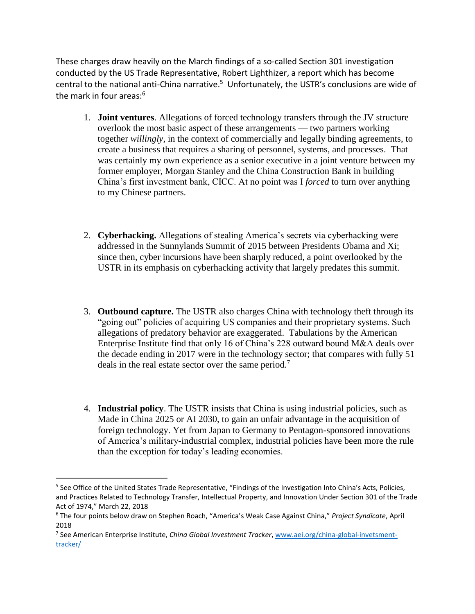These charges draw heavily on the March findings of a so-called Section 301 investigation conducted by the US Trade Representative, Robert Lighthizer, a report which has become central to the national anti-China narrative.<sup>5</sup> Unfortunately, the USTR's conclusions are wide of the mark in four areas:<sup>6</sup>

- 1. **Joint ventures**. Allegations of forced technology transfers through the JV structure overlook the most basic aspect of these arrangements — two partners working together *willingly*, in the context of commercially and legally binding agreements, to create a business that requires a sharing of personnel, systems, and processes. That was certainly my own experience as a senior executive in a joint venture between my former employer, Morgan Stanley and the China Construction Bank in building China's first investment bank, CICC. At no point was I *forced* to turn over anything to my Chinese partners.
- 2. **Cyberhacking.** Allegations of stealing America's secrets via cyberhacking were addressed in the Sunnylands Summit of 2015 between Presidents Obama and Xi; since then, cyber incursions have been sharply reduced, a point overlooked by the USTR in its emphasis on cyberhacking activity that largely predates this summit.
- 3. **Outbound capture.** The USTR also charges China with technology theft through its "going out" policies of acquiring US companies and their proprietary systems. Such allegations of predatory behavior are exaggerated. Tabulations by the American Enterprise Institute find that only 16 of China's 228 outward bound M&A deals over the decade ending in 2017 were in the technology sector; that compares with fully 51 deals in the real estate sector over the same period.<sup>7</sup>
- 4. **Industrial policy**. The USTR insists that China is using industrial policies, such as Made in China 2025 or AI 2030, to gain an unfair advantage in the acquisition of foreign technology. Yet from Japan to Germany to Pentagon-sponsored innovations of America's military-industrial complex, industrial policies have been more the rule than the exception for today's leading economies.

<sup>&</sup>lt;sup>5</sup> See Office of the United States Trade Representative, "Findings of the Investigation Into China's Acts, Policies, and Practices Related to Technology Transfer, Intellectual Property, and Innovation Under Section 301 of the Trade Act of 1974," March 22, 2018

<sup>6</sup> The four points below draw on Stephen Roach, "America's Weak Case Against China," *Project Syndicate*, April 2018

<sup>7</sup> See American Enterprise Institute, *China Global Investment Tracker*, [www.aei.org/china-global-invetsment](http://www.aei.org/china-global-invetsment-tracker/)[tracker/](http://www.aei.org/china-global-invetsment-tracker/)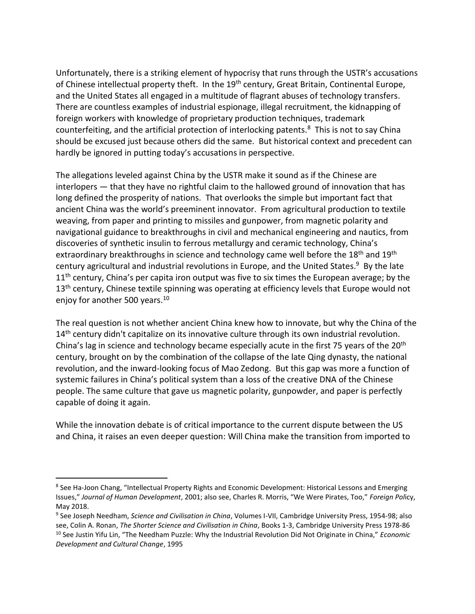Unfortunately, there is a striking element of hypocrisy that runs through the USTR's accusations of Chinese intellectual property theft. In the 19<sup>th</sup> century, Great Britain, Continental Europe, and the United States all engaged in a multitude of flagrant abuses of technology transfers. There are countless examples of industrial espionage, illegal recruitment, the kidnapping of foreign workers with knowledge of proprietary production techniques, trademark counterfeiting, and the artificial protection of interlocking patents.<sup>8</sup> This is not to say China should be excused just because others did the same. But historical context and precedent can hardly be ignored in putting today's accusations in perspective.

The allegations leveled against China by the USTR make it sound as if the Chinese are interlopers — that they have no rightful claim to the hallowed ground of innovation that has long defined the prosperity of nations. That overlooks the simple but important fact that ancient China was the world's preeminent innovator. From agricultural production to textile weaving, from paper and printing to missiles and gunpower, from magnetic polarity and navigational guidance to breakthroughs in civil and mechanical engineering and nautics, from discoveries of synthetic insulin to ferrous metallurgy and ceramic technology, China's extraordinary breakthroughs in science and technology came well before the 18<sup>th</sup> and 19<sup>th</sup> century agricultural and industrial revolutions in Europe, and the United States.<sup>9</sup> By the late  $11<sup>th</sup>$  century, China's per capita iron output was five to six times the European average; by the 13<sup>th</sup> century, Chinese textile spinning was operating at efficiency levels that Europe would not enjoy for another 500 years.<sup>10</sup>

The real question is not whether ancient China knew how to innovate, but why the China of the 14<sup>th</sup> century didn't capitalize on its innovative culture through its own industrial revolution. China's lag in science and technology became especially acute in the first 75 years of the 20<sup>th</sup> century, brought on by the combination of the collapse of the late Qing dynasty, the national revolution, and the inward-looking focus of Mao Zedong. But this gap was more a function of systemic failures in China's political system than a loss of the creative DNA of the Chinese people. The same culture that gave us magnetic polarity, gunpowder, and paper is perfectly capable of doing it again.

While the innovation debate is of critical importance to the current dispute between the US and China, it raises an even deeper question: Will China make the transition from imported to

<sup>&</sup>lt;sup>8</sup> See Ha-Joon Chang, "Intellectual Property Rights and Economic Development: Historical Lessons and Emerging Issues," *Journal of Human Development*, 2001; also see, Charles R. Morris, "We Were Pirates, Too," *Foreign Pol*icy, May 2018.

<sup>9</sup> See Joseph Needham, *Science and Civilisation in China*, Volumes I-VII, Cambridge University Press, 1954-98; also see, Colin A. Ronan, *The Shorter Science and Civilisation in China*, Books 1-3, Cambridge University Press 1978-86 <sup>10</sup> See Justin Yifu Lin, "The Needham Puzzle: Why the Industrial Revolution Did Not Originate in China," *Economic Development and Cultural Change*, 1995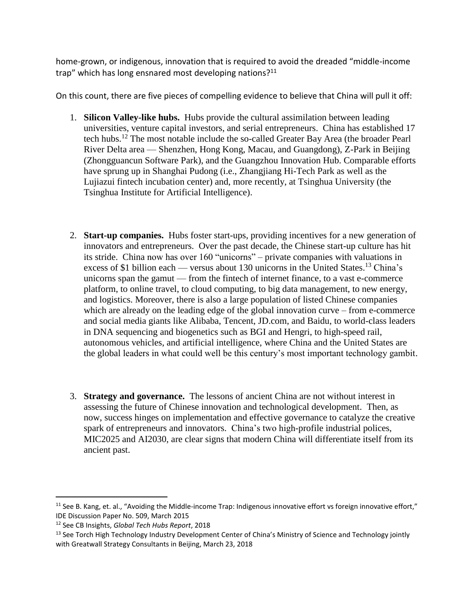home-grown, or indigenous, innovation that is required to avoid the dreaded "middle-income trap" which has long ensnared most developing nations?<sup>11</sup>

On this count, there are five pieces of compelling evidence to believe that China will pull it off:

- 1. **Silicon Valley-like hubs.** Hubs provide the cultural assimilation between leading universities, venture capital investors, and serial entrepreneurs. China has established 17 tech hubs. <sup>12</sup> The most notable include the so-called Greater Bay Area (the broader Pearl River Delta area — Shenzhen, Hong Kong, Macau, and Guangdong), Z-Park in Beijing (Zhongguancun Software Park), and the Guangzhou Innovation Hub. Comparable efforts have sprung up in Shanghai Pudong (i.e., Zhangjiang Hi-Tech Park as well as the Lujiazui fintech incubation center) and, more recently, at Tsinghua University (the Tsinghua Institute for Artificial Intelligence).
- 2. **Start-up companies.** Hubs foster start-ups, providing incentives for a new generation of innovators and entrepreneurs. Over the past decade, the Chinese start-up culture has hit its stride. China now has over 160 "unicorns" – private companies with valuations in excess of \$1 billion each — versus about 130 unicorns in the United States.<sup>13</sup> China's unicorns span the gamut — from the fintech of internet finance, to a vast e-commerce platform, to online travel, to cloud computing, to big data management, to new energy, and logistics. Moreover, there is also a large population of listed Chinese companies which are already on the leading edge of the global innovation curve – from e-commerce and social media giants like Alibaba, Tencent, JD.com, and Baidu, to world-class leaders in DNA sequencing and biogenetics such as BGI and Hengri, to high-speed rail, autonomous vehicles, and artificial intelligence, where China and the United States are the global leaders in what could well be this century's most important technology gambit.
- 3. **Strategy and governance.** The lessons of ancient China are not without interest in assessing the future of Chinese innovation and technological development. Then, as now, success hinges on implementation and effective governance to catalyze the creative spark of entrepreneurs and innovators. China's two high-profile industrial polices, MIC2025 and AI2030, are clear signs that modern China will differentiate itself from its ancient past.

 $\overline{a}$  $11$  See B. Kang, et. al., "Avoiding the Middle-income Trap: Indigenous innovative effort vs foreign innovative effort," IDE Discussion Paper No. 509, March 2015

<sup>12</sup> See CB Insights, *Global Tech Hubs Report*, 2018

<sup>&</sup>lt;sup>13</sup> See Torch High Technology Industry Development Center of China's Ministry of Science and Technology jointly with Greatwall Strategy Consultants in Beijing, March 23, 2018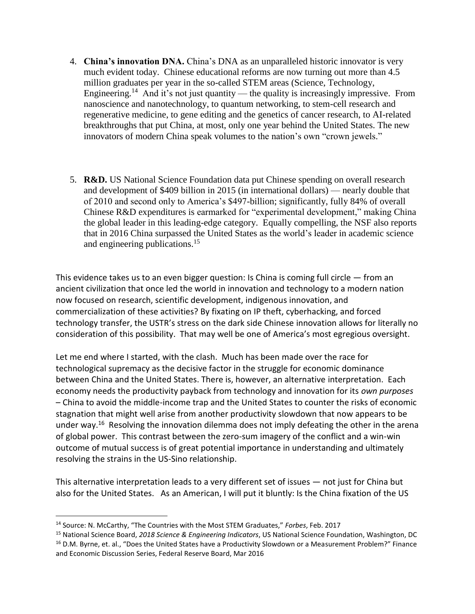- 4. **China's innovation DNA.** China's DNA as an unparalleled historic innovator is very much evident today. Chinese educational reforms are now turning out more than 4.5 million graduates per year in the so-called STEM areas (Science, Technology, Engineering.<sup>14</sup> And it's not just quantity — the quality is increasingly impressive. From nanoscience and nanotechnology, to quantum networking, to stem-cell research and regenerative medicine, to gene editing and the genetics of cancer research, to AI-related breakthroughs that put China, at most, only one year behind the United States. The new innovators of modern China speak volumes to the nation's own "crown jewels."
- 5. **R&D.** US National Science Foundation data put Chinese spending on overall research and development of \$409 billion in 2015 (in international dollars) — nearly double that of 2010 and second only to America's \$497-billion; significantly, fully 84% of overall Chinese R&D expenditures is earmarked for "experimental development," making China the global leader in this leading-edge category. Equally compelling, the NSF also reports that in 2016 China surpassed the United States as the world's leader in academic science and engineering publications. 15

This evidence takes us to an even bigger question: Is China is coming full circle  $-$  from an ancient civilization that once led the world in innovation and technology to a modern nation now focused on research, scientific development, indigenous innovation, and commercialization of these activities? By fixating on IP theft, cyberhacking, and forced technology transfer, the USTR's stress on the dark side Chinese innovation allows for literally no consideration of this possibility. That may well be one of America's most egregious oversight.

Let me end where I started, with the clash. Much has been made over the race for technological supremacy as the decisive factor in the struggle for economic dominance between China and the United States. There is, however, an alternative interpretation. Each economy needs the productivity payback from technology and innovation for its *own purposes* – China to avoid the middle-income trap and the United States to counter the risks of economic stagnation that might well arise from another productivity slowdown that now appears to be under way.<sup>16</sup> Resolving the innovation dilemma does not imply defeating the other in the arena of global power. This contrast between the zero-sum imagery of the conflict and a win-win outcome of mutual success is of great potential importance in understanding and ultimately resolving the strains in the US-Sino relationship.

This alternative interpretation leads to a very different set of issues — not just for China but also for the United States. As an American, I will put it bluntly: Is the China fixation of the US

<sup>14</sup> Source: N. McCarthy, "The Countries with the Most STEM Graduates," *Forbes*, Feb. 2017

<sup>15</sup> National Science Board, *2018 Science & Engineering Indicators*, US National Science Foundation, Washington, DC <sup>16</sup> D.M. Byrne, et. al., "Does the United States have a Productivity Slowdown or a Measurement Problem?" Finance and Economic Discussion Series, Federal Reserve Board, Mar 2016